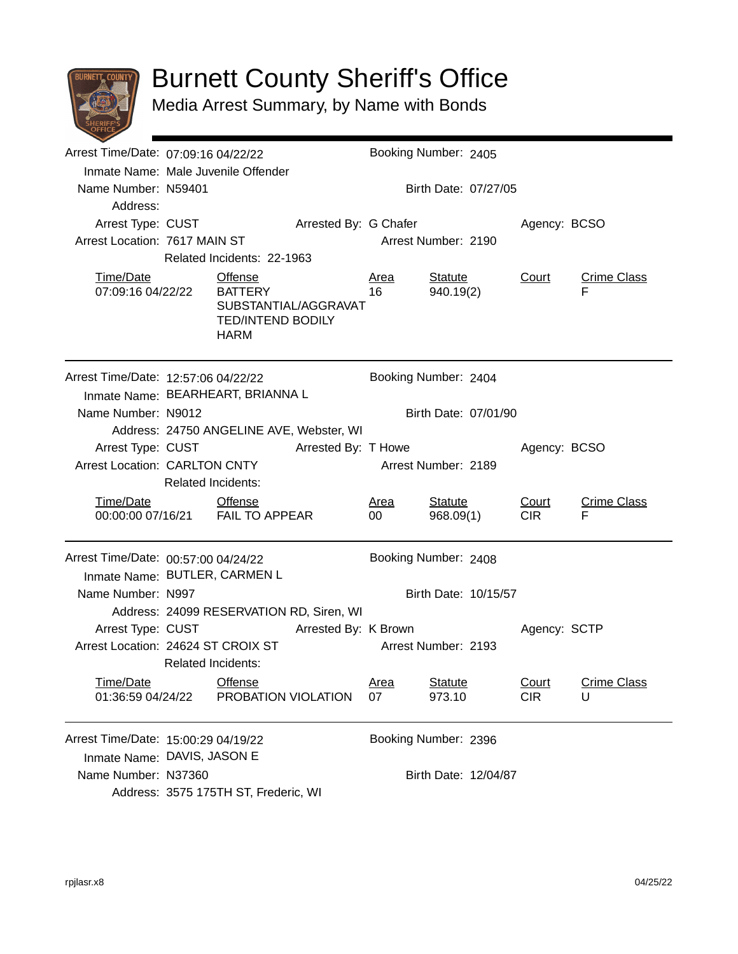

## Burnett County Sheriff's Office

Media Arrest Summary, by Name with Bonds

| Arrest Time/Date: 07:09:16 04/22/22                                      |                                                                                        |                                                               |                                          | Booking Number: 2405 |                             |                           |                         |  |  |
|--------------------------------------------------------------------------|----------------------------------------------------------------------------------------|---------------------------------------------------------------|------------------------------------------|----------------------|-----------------------------|---------------------------|-------------------------|--|--|
|                                                                          | Inmate Name: Male Juvenile Offender                                                    |                                                               |                                          |                      |                             |                           |                         |  |  |
| Name Number: N59401                                                      |                                                                                        |                                                               |                                          |                      | Birth Date: 07/27/05        |                           |                         |  |  |
| Address:                                                                 |                                                                                        |                                                               |                                          |                      |                             |                           |                         |  |  |
| Arrest Type: CUST                                                        |                                                                                        |                                                               | Arrested By: G Chafer                    |                      | Agency: BCSO                |                           |                         |  |  |
| Arrest Location: 7617 MAIN ST                                            |                                                                                        |                                                               |                                          |                      | Arrest Number: 2190         |                           |                         |  |  |
|                                                                          |                                                                                        | Related Incidents: 22-1963                                    |                                          |                      |                             |                           |                         |  |  |
| Time/Date<br>07:09:16 04/22/22                                           |                                                                                        | Offense<br><b>BATTERY</b><br><b>TED/INTEND BODILY</b><br>HARM | SUBSTANTIAL/AGGRAVAT                     | <b>Area</b><br>16    | <b>Statute</b><br>940.19(2) | Court                     | <b>Crime Class</b><br>F |  |  |
| Arrest Time/Date: 12:57:06 04/22/22<br>Inmate Name: BEARHEART, BRIANNA L |                                                                                        |                                                               |                                          | Booking Number: 2404 |                             |                           |                         |  |  |
| Name Number: N9012                                                       |                                                                                        |                                                               |                                          |                      | Birth Date: 07/01/90        |                           |                         |  |  |
|                                                                          |                                                                                        |                                                               | Address: 24750 ANGELINE AVE, Webster, WI |                      |                             |                           |                         |  |  |
| Arrest Type: CUST                                                        |                                                                                        |                                                               | Arrested By: T Howe                      |                      |                             | Agency: BCSO              |                         |  |  |
| <b>Arrest Location: CARLTON CNTY</b>                                     |                                                                                        | Arrest Number: 2189                                           |                                          |                      |                             |                           |                         |  |  |
| <b>Related Incidents:</b>                                                |                                                                                        |                                                               |                                          |                      |                             |                           |                         |  |  |
| Time/Date                                                                |                                                                                        | <b>Offense</b><br>00:00:00 07/16/21 FAIL TO APPEAR            |                                          | Area<br>00           | <b>Statute</b><br>968.09(1) | Court<br>CIR <sub>1</sub> | <b>Crime Class</b><br>F |  |  |
| Arrest Time/Date: 00:57:00 04/24/22                                      |                                                                                        |                                                               |                                          |                      | Booking Number: 2408        |                           |                         |  |  |
|                                                                          | Inmate Name: BUTLER, CARMEN L                                                          |                                                               |                                          |                      |                             |                           |                         |  |  |
| Name Number: N997                                                        |                                                                                        |                                                               |                                          | Birth Date: 10/15/57 |                             |                           |                         |  |  |
|                                                                          |                                                                                        |                                                               | Address: 24099 RESERVATION RD, Siren, WI |                      |                             |                           |                         |  |  |
| Arrest Type: CUST                                                        | Arrested By: K Brown                                                                   |                                                               | Agency: SCTP                             |                      |                             |                           |                         |  |  |
|                                                                          | Arrest Location: 24624 ST CROIX ST<br>Arrest Number: 2193<br><b>Related Incidents:</b> |                                                               |                                          |                      |                             |                           |                         |  |  |
| <u>Time/Date</u>                                                         |                                                                                        | <b>Offense</b>                                                |                                          | <u>Area</u>          | <b>Statute</b>              | Court                     | <b>Crime Class</b>      |  |  |
| 01:36:59 04/24/22                                                        |                                                                                        | PROBATION VIOLATION                                           |                                          | 07                   | 973.10                      | <b>CIR</b>                | U                       |  |  |
|                                                                          | Arrest Time/Date: 15:00:29 04/19/22<br>Booking Number: 2396                            |                                                               |                                          |                      |                             |                           |                         |  |  |
|                                                                          | Inmate Name: DAVIS, JASON E                                                            |                                                               |                                          |                      |                             |                           |                         |  |  |
| Name Number: N37360                                                      | Birth Date: 12/04/87                                                                   |                                                               |                                          |                      |                             |                           |                         |  |  |
|                                                                          | Address: 3575 175TH ST, Frederic, WI                                                   |                                                               |                                          |                      |                             |                           |                         |  |  |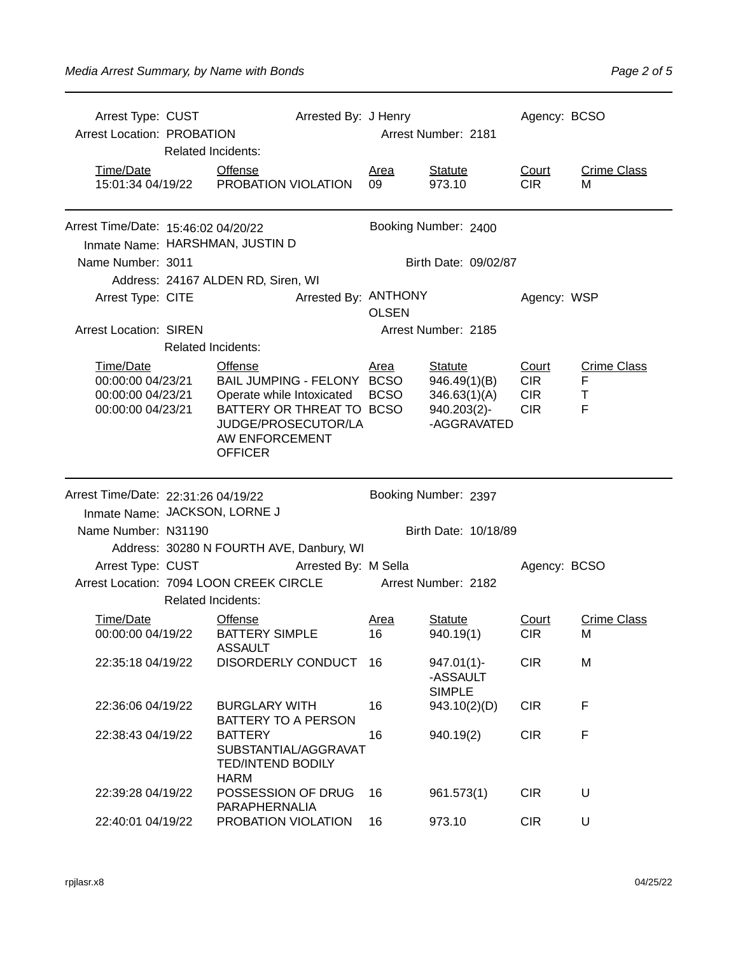| Arrest Type: CUST<br><b>Arrest Location: PROBATION</b> | Arrested By: J Henry<br><b>Related Incidents:</b> |                                                                                                                                                                                     | Arrest Number: 2181        |                                                                              | Agency: BCSO                                    |                                             |  |
|--------------------------------------------------------|---------------------------------------------------|-------------------------------------------------------------------------------------------------------------------------------------------------------------------------------------|----------------------------|------------------------------------------------------------------------------|-------------------------------------------------|---------------------------------------------|--|
| Time/Date                                              |                                                   | <b>Offense</b><br>15:01:34 04/19/22 PROBATION VIOLATION                                                                                                                             | <b>Area</b><br>09          | <b>Statute</b><br>973.10                                                     | Court<br><b>CIR</b>                             | <b>Crime Class</b><br>м                     |  |
| Arrest Time/Date: 15:46:02 04/20/22                    |                                                   | Inmate Name: HARSHMAN, JUSTIN D                                                                                                                                                     | Booking Number: 2400       |                                                                              |                                                 |                                             |  |
| Name Number: 3011                                      |                                                   |                                                                                                                                                                                     |                            | Birth Date: 09/02/87                                                         |                                                 |                                             |  |
|                                                        |                                                   | Address: 24167 ALDEN RD, Siren, WI                                                                                                                                                  |                            |                                                                              |                                                 |                                             |  |
| Arrest Type: CITE                                      |                                                   | Arrested By: ANTHONY                                                                                                                                                                | <b>OLSEN</b>               |                                                                              | Agency: WSP                                     |                                             |  |
| <b>Arrest Location: SIREN</b>                          |                                                   |                                                                                                                                                                                     |                            | Arrest Number: 2185                                                          |                                                 |                                             |  |
|                                                        | <b>Related Incidents:</b>                         |                                                                                                                                                                                     |                            |                                                                              |                                                 |                                             |  |
| Time/Date<br>00:00:00 04/23/21<br>00:00:00 04/23/21    |                                                   | <b>Offense</b><br>BAIL JUMPING - FELONY BCSO<br>00:00:00 04/23/21 Operate while Intoxicated<br>BATTERY OR THREAT TO BCSO<br>JUDGE/PROSECUTOR/LA<br>AW ENFORCEMENT<br><b>OFFICER</b> | <u>Area</u><br><b>BCSO</b> | <b>Statute</b><br>946.49(1)(B)<br>346.63(1)(A)<br>940.203(2)-<br>-AGGRAVATED | Court<br><b>CIR</b><br><b>CIR</b><br><b>CIR</b> | <b>Crime Class</b><br>F<br>$\mathsf T$<br>F |  |
|                                                        |                                                   |                                                                                                                                                                                     |                            |                                                                              |                                                 |                                             |  |
| Arrest Time/Date: 22:31:26 04/19/22                    |                                                   |                                                                                                                                                                                     |                            | Booking Number: 2397                                                         |                                                 |                                             |  |
| Inmate Name: JACKSON, LORNE J                          |                                                   |                                                                                                                                                                                     |                            |                                                                              |                                                 |                                             |  |
| Name Number: N31190                                    |                                                   |                                                                                                                                                                                     |                            | Birth Date: 10/18/89                                                         |                                                 |                                             |  |
|                                                        |                                                   | Address: 30280 N FOURTH AVE, Danbury, WI                                                                                                                                            |                            |                                                                              |                                                 |                                             |  |
|                                                        |                                                   | Arrest Type: CUST Arrested By: M Sella                                                                                                                                              |                            |                                                                              | Agency: BCSO                                    |                                             |  |
|                                                        |                                                   | Arrest Location: 7094 LOON CREEK CIRCLE                                                                                                                                             |                            | <b>Arrest Number: 2182</b>                                                   |                                                 |                                             |  |
|                                                        | <b>Related Incidents:</b>                         |                                                                                                                                                                                     |                            |                                                                              |                                                 |                                             |  |
| Time/Date<br>00:00:00 04/19/22                         |                                                   | <b>Offense</b><br><b>BATTERY SIMPLE</b>                                                                                                                                             | Area<br>16                 | Statute<br>940.19(1)                                                         | Court<br>CIR.                                   | <b>Crime Class</b><br>м                     |  |
| 22:35:18 04/19/22                                      |                                                   | ASSAULT<br>DISORDERLY CONDUCT                                                                                                                                                       | 16                         | $947.01(1)$ -<br>-ASSAULT                                                    | <b>CIR</b>                                      | M                                           |  |
| 22:36:06 04/19/22                                      |                                                   | <b>BURGLARY WITH</b>                                                                                                                                                                | 16                         | <b>SIMPLE</b><br>943.10(2)(D)                                                | <b>CIR</b>                                      | F                                           |  |
| 22:38:43 04/19/22                                      |                                                   | BATTERY TO A PERSON<br><b>BATTERY</b><br>SUBSTANTIAL/AGGRAVAT<br><b>TED/INTEND BODILY</b><br><b>HARM</b>                                                                            | 16                         | 940.19(2)                                                                    | <b>CIR</b>                                      | F                                           |  |
| 22:39:28 04/19/22                                      |                                                   | POSSESSION OF DRUG<br>PARAPHERNALIA                                                                                                                                                 | 16                         | 961.573(1)                                                                   | <b>CIR</b>                                      | U                                           |  |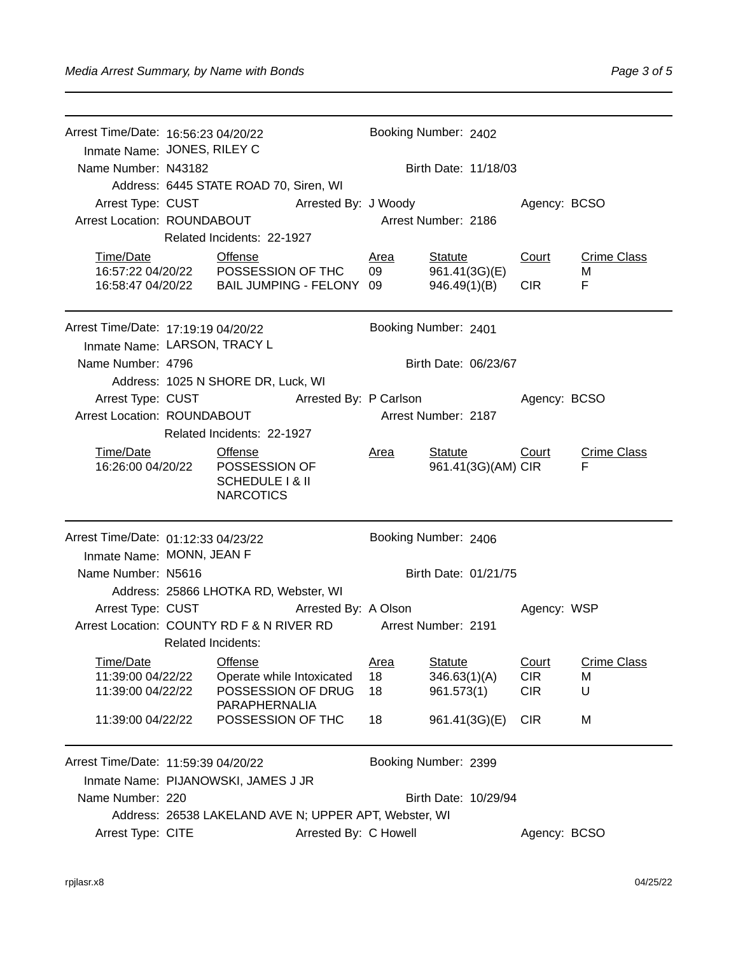| Arrest Time/Date: 16:56:23 04/20/22 |                                            |                                                       |                      | Booking Number: 2402 |                      |              |                    |  |
|-------------------------------------|--------------------------------------------|-------------------------------------------------------|----------------------|----------------------|----------------------|--------------|--------------------|--|
|                                     | Inmate Name: JONES, RILEY C                |                                                       |                      |                      |                      |              |                    |  |
| Name Number: N43182                 |                                            |                                                       |                      |                      | Birth Date: 11/18/03 |              |                    |  |
|                                     |                                            | Address: 6445 STATE ROAD 70, Siren, WI                |                      |                      |                      |              |                    |  |
| Arrest Type: CUST                   |                                            |                                                       | Arrested By: J Woody |                      |                      | Agency: BCSO |                    |  |
| Arrest Location: ROUNDABOUT         |                                            |                                                       | Arrest Number: 2186  |                      |                      |              |                    |  |
|                                     |                                            | Related Incidents: 22-1927                            |                      |                      |                      |              |                    |  |
| Time/Date                           |                                            | <b>Offense</b>                                        |                      | Area                 | Statute              | Court        | <b>Crime Class</b> |  |
|                                     | 16:57:22 04/20/22    POSSESSION OF THC     |                                                       |                      | 09                   | 961.41(3G)(E)        |              | M                  |  |
|                                     |                                            | 16:58:47 04/20/22    BAIL JUMPING - FELONY 09         |                      |                      | 946.49(1)(B)         | <b>CIR</b>   | F                  |  |
| Arrest Time/Date: 17:19:19 04/20/22 |                                            |                                                       |                      |                      | Booking Number: 2401 |              |                    |  |
| Inmate Name: LARSON, TRACY L        |                                            |                                                       |                      |                      |                      |              |                    |  |
| Name Number: 4796                   |                                            |                                                       |                      | Birth Date: 06/23/67 |                      |              |                    |  |
|                                     |                                            | Address: 1025 N SHORE DR, Luck, WI                    |                      |                      |                      |              |                    |  |
|                                     | Arrest Type: CUST Arrested By: P Carlson   |                                                       |                      |                      |                      | Agency: BCSO |                    |  |
| Arrest Location: ROUNDABOUT         |                                            |                                                       |                      | Arrest Number: 2187  |                      |              |                    |  |
|                                     | Related Incidents: 22-1927                 |                                                       |                      |                      |                      |              |                    |  |
| Time/Date                           |                                            | <b>Offense</b>                                        |                      | Area                 | Statute              | Court        | <b>Crime Class</b> |  |
|                                     |                                            | 16:26:00 04/20/22  POSSESSION OF                      |                      |                      | 961.41(3G)(AM) CIR   | F            |                    |  |
|                                     | SCHEDULE   & II<br><b>NARCOTICS</b>        |                                                       |                      |                      |                      |              |                    |  |
|                                     |                                            |                                                       |                      |                      |                      |              |                    |  |
| Arrest Time/Date: 01:12:33 04/23/22 |                                            |                                                       |                      |                      | Booking Number: 2406 |              |                    |  |
| Inmate Name: MONN, JEAN F           |                                            |                                                       |                      |                      |                      |              |                    |  |
| Name Number: N5616                  |                                            |                                                       |                      | Birth Date: 01/21/75 |                      |              |                    |  |
|                                     | Address: 25866 LHOTKA RD, Webster, WI      |                                                       |                      |                      |                      |              |                    |  |
| Arrest Type: CUST                   |                                            |                                                       | Arrested By: A Olson |                      |                      | Agency: WSP  |                    |  |
|                                     | Arrest Location: COUNTY RD F & N RIVER RD  |                                                       |                      | Arrest Number: 2191  |                      |              |                    |  |
| <b>Related Incidents:</b>           |                                            |                                                       |                      |                      |                      |              |                    |  |
| Time/Date                           |                                            | <b>Offense</b>                                        |                      | <u>Area</u>          | <b>Statute</b>       | Court        | <b>Crime Class</b> |  |
| 11:39:00 04/22/22                   |                                            | Operate while Intoxicated                             |                      | 18                   | 346.63(1)(A)         | <b>CIR</b>   | M                  |  |
| 11:39:00 04/22/22                   |                                            | POSSESSION OF DRUG                                    |                      | 18                   | 961.573(1)           | <b>CIR</b>   | U                  |  |
|                                     |                                            | PARAPHERNALIA<br>POSSESSION OF THC                    |                      |                      |                      |              |                    |  |
| 11:39:00 04/22/22                   |                                            |                                                       |                      | 18                   | 961.41(3G)(E)        | <b>CIR</b>   | M                  |  |
| Arrest Time/Date: 11:59:39 04/20/22 |                                            |                                                       |                      | Booking Number: 2399 |                      |              |                    |  |
|                                     |                                            | Inmate Name: PIJANOWSKI, JAMES J JR                   |                      |                      |                      |              |                    |  |
| Name Number: 220                    | Birth Date: 10/29/94                       |                                                       |                      |                      |                      |              |                    |  |
|                                     |                                            | Address: 26538 LAKELAND AVE N; UPPER APT, Webster, WI |                      |                      |                      |              |                    |  |
|                                     | Arrest Type: CITE<br>Arrested By: C Howell |                                                       |                      |                      |                      | Agency: BCSO |                    |  |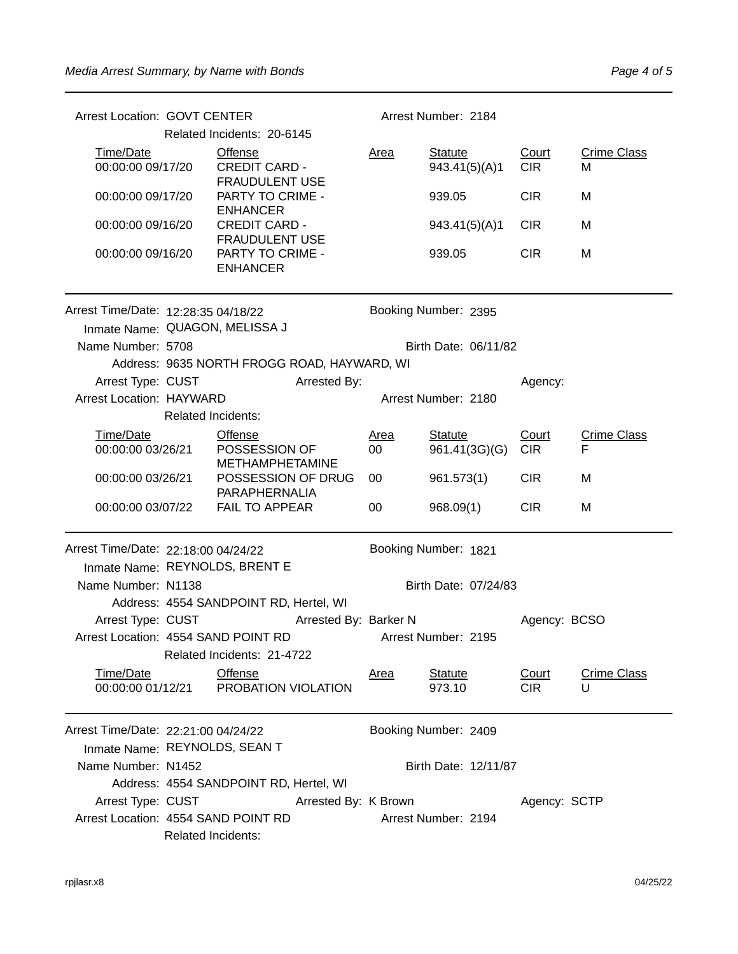| <b>Arrest Location: GOVT CENTER</b>                                                           |                                                                        |                                                  |                       | Arrest Number: 2184  |                                 |                            |                         |  |
|-----------------------------------------------------------------------------------------------|------------------------------------------------------------------------|--------------------------------------------------|-----------------------|----------------------|---------------------------------|----------------------------|-------------------------|--|
|                                                                                               |                                                                        | Related Incidents: 20-6145                       |                       |                      |                                 |                            |                         |  |
| Time/Date                                                                                     | Offense<br>00:00:00 09/17/20<br><b>CREDIT CARD -</b><br>FRAUDULENT USE |                                                  |                       | <u>Area</u>          | <b>Statute</b><br>943.41(5)(A)1 | Court<br><b>CIR</b>        | <b>Crime Class</b><br>M |  |
| 00:00:00 09/17/20                                                                             | PARTY TO CRIME -<br><b>ENHANCER</b>                                    |                                                  |                       |                      | 939.05                          | <b>CIR</b>                 | M                       |  |
| 00:00:00 09/16/20                                                                             | <b>CREDIT CARD -</b><br><b>FRAUDULENT USE</b>                          |                                                  |                       |                      | 943.41(5)(A)1                   | <b>CIR</b>                 | M                       |  |
| 00:00:00 09/16/20                                                                             |                                                                        | PARTY TO CRIME -<br><b>ENHANCER</b>              |                       |                      | 939.05                          | <b>CIR</b>                 | M                       |  |
| Arrest Time/Date: 12:28:35 04/18/22<br>Inmate Name: QUAGON, MELISSA J                         |                                                                        |                                                  |                       | Booking Number: 2395 |                                 |                            |                         |  |
| Name Number: 5708                                                                             |                                                                        |                                                  |                       |                      | Birth Date: 06/11/82            |                            |                         |  |
|                                                                                               |                                                                        | Address: 9635 NORTH FROGG ROAD, HAYWARD, WI      |                       |                      |                                 |                            |                         |  |
| Arrest Type: CUST                                                                             |                                                                        |                                                  | Arrested By:          |                      |                                 | Agency:                    |                         |  |
| <b>Arrest Location: HAYWARD</b>                                                               |                                                                        |                                                  |                       |                      | Arrest Number: 2180             |                            |                         |  |
|                                                                                               | Related Incidents:                                                     |                                                  |                       |                      |                                 |                            |                         |  |
| Time/Date                                                                                     |                                                                        | <b>Offense</b>                                   |                       | <u>Area</u>          | Statute                         | Court                      | <b>Crime Class</b>      |  |
| 00:00:00 03/26/21                                                                             |                                                                        | POSSESSION OF<br><b>METHAMPHETAMINE</b>          |                       | 00                   | 961.41(3G)(G)                   | <b>CIR</b>                 | F                       |  |
| 00:00:00 03/26/21                                                                             |                                                                        | POSSESSION OF DRUG<br>PARAPHERNALIA              |                       | 00                   | 961.573(1)                      | <b>CIR</b>                 | M                       |  |
| 00:00:00 03/07/22                                                                             |                                                                        | <b>FAIL TO APPEAR</b>                            |                       | 00                   | 968.09(1)                       | <b>CIR</b>                 | M                       |  |
| Arrest Time/Date: 22:18:00 04/24/22<br>Booking Number: 1821<br>Inmate Name: REYNOLDS, BRENT E |                                                                        |                                                  |                       |                      |                                 |                            |                         |  |
| Name Number: N1138                                                                            |                                                                        |                                                  |                       | Birth Date: 07/24/83 |                                 |                            |                         |  |
|                                                                                               | Address: 4554 SANDPOINT RD, Hertel, WI                                 |                                                  |                       |                      |                                 |                            |                         |  |
| Arrest Type: CUST                                                                             |                                                                        |                                                  | Arrested By: Barker N |                      |                                 | Agency: BCSO               |                         |  |
|                                                                                               | Arrest Location: 4554 SAND POINT RD                                    |                                                  |                       |                      | Arrest Number: 2195             |                            |                         |  |
| Related Incidents: 21-4722                                                                    |                                                                        |                                                  |                       |                      |                                 |                            |                         |  |
| Time/Date                                                                                     |                                                                        | Offense<br>00:00:00 01/12/21 PROBATION VIOLATION |                       | Area                 | <b>Statute</b><br>973.10        | <b>Court</b><br><b>CIR</b> | <b>Crime Class</b><br>U |  |
| Arrest Time/Date: 22:21:00 04/24/22                                                           |                                                                        |                                                  |                       |                      | Booking Number: 2409            |                            |                         |  |
| Inmate Name: REYNOLDS, SEAN T                                                                 |                                                                        |                                                  |                       |                      |                                 |                            |                         |  |
| Name Number: N1452                                                                            |                                                                        |                                                  |                       |                      | Birth Date: 12/11/87            |                            |                         |  |
|                                                                                               |                                                                        | Address: 4554 SANDPOINT RD, Hertel, WI           |                       |                      |                                 |                            |                         |  |
| Arrest Type: CUST                                                                             |                                                                        |                                                  | Arrested By: K Brown  | Agency: SCTP         |                                 |                            |                         |  |
|                                                                                               | Arrest Location: 4554 SAND POINT RD<br>Related Incidents:              |                                                  |                       |                      | Arrest Number: 2194             |                            |                         |  |